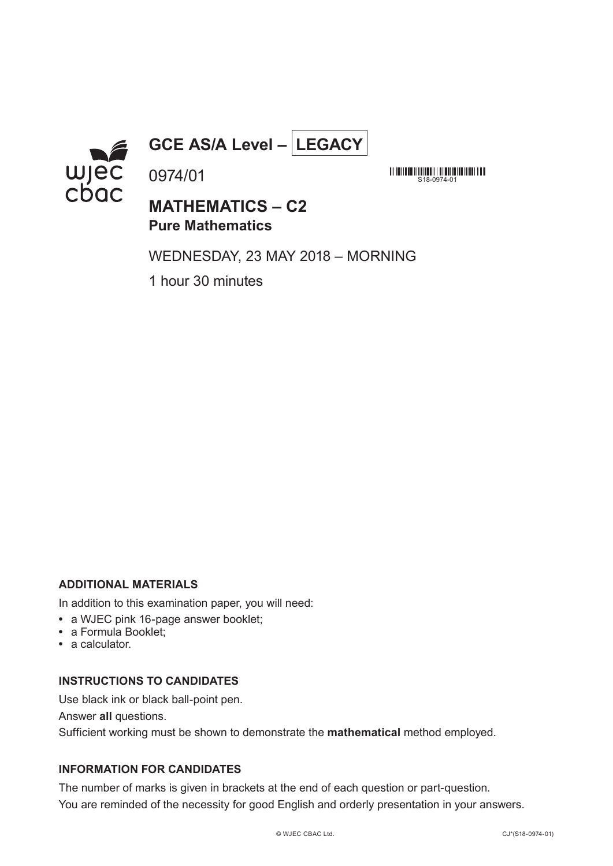

**GCE AS/A Level – LEGACY**

**MATHEMATICS – C2 Pure Mathematics**

WEDNESDAY, 23 MAY 2018 – MORNING

S18-0974-01

1 hour 30 minutes

0974/01

## **ADDITIONAL MATERIALS**

In addition to this examination paper, you will need:

- **•** a WJEC pink 16-page answer booklet;
- **•** a Formula Booklet;
- **•** a calculator.

## **INSTRUCTIONS TO CANDIDATES**

Use black ink or black ball-point pen.

Answer **all** questions.

Sufficient working must be shown to demonstrate the **mathematical** method employed.

# **INFORMATION FOR CANDIDATES**

The number of marks is given in brackets at the end of each question or part-question. You are reminded of the necessity for good English and orderly presentation in your answers.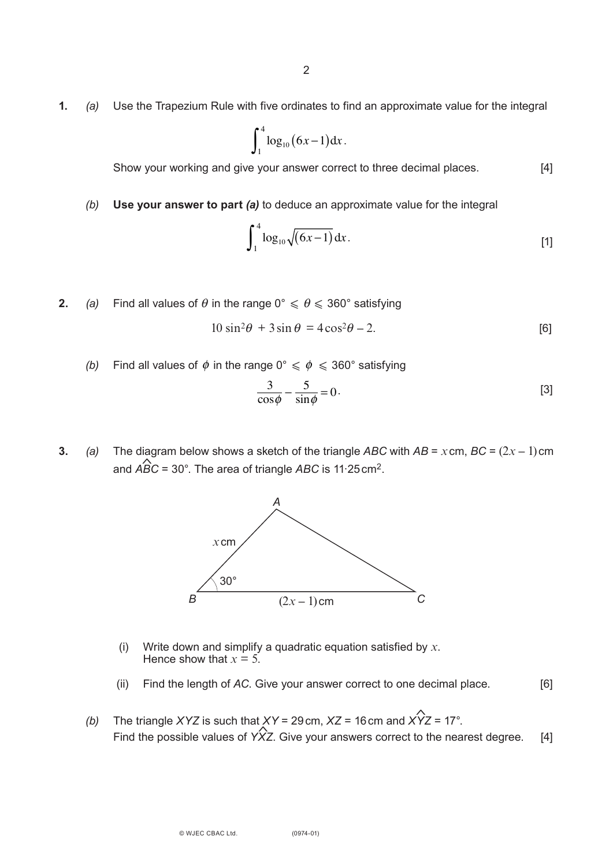**1.** *(a)* Use the Trapezium Rule with five ordinates to find an approximate value for the integral

$$
\int_1^4 \log_{10} (6x-1) \, \mathrm{d}x \, .
$$

Show your working and give your answer correct to three decimal places. [4]

*(b)* **Use your answer to part** *(a)* to deduce an approximate value for the integral

$$
\int_{1}^{4} \log_{10} \sqrt{(6x-1)} \, \mathrm{d}x \,. \tag{1}
$$

**2.** *(a)* Find all values of  $\theta$  in the range  $0^{\circ} \le \theta \le 360^{\circ}$  satisfying

$$
10\sin^2\theta + 3\sin\theta = 4\cos^2\theta - 2.
$$
 [6]

*(b)* Find all values of  $\phi$  in the range 0°  $\leqslant \phi \leqslant 360$ ° satisfying

$$
\frac{3}{\cos\phi} - \frac{5}{\sin\phi} = 0.
$$
 [3]

**3.** *(a)* The diagram below shows a sketch of the triangle ABC with  $AB = x$  cm,  $BC = (2x - 1)$  cm and *ABC* = 30°. The area of triangle *ABC* is 11.25cm2. id<br>스



- (i) Write down and simplify a quadratic equation satisfied by *x*. Hence show that  $x = 5$ .
- (ii) Find the length of *AC*. Give your answer correct to one decimal place. [6]
- *(b)* The triangle *XYZ* is such that *XY* = 29cm, *XZ* = 16cm and *XYZ* = 17°. Find the possible values of  $\hat{Y}$ Z. Give your answers correct to the nearest degree. [4]  $\hat{\mathbf{c}}$ بر:<br>ج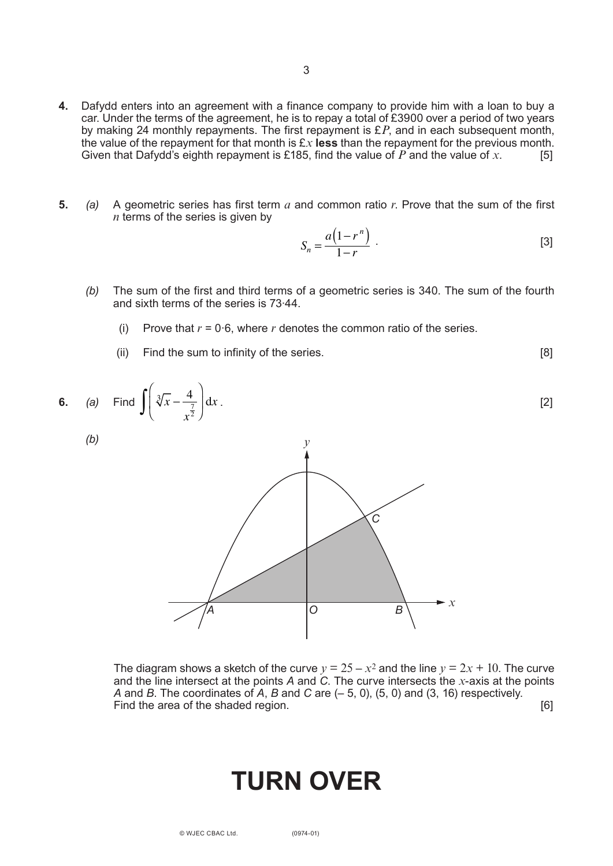- **4.** Dafydd enters into an agreement with a finance company to provide him with a loan to buy a car. Under the terms of the agreement, he is to repay a total of £3900 over a period of two years by making 24 monthly repayments. The first repayment is £*P*, and in each subsequent month, the value of the repayment for that month is  $Ex$  **less** than the repayment for the previous month.<br>Given that Dafydd's eighth repayment is £185, find the value of P and the value of x. Given that Dafydd's eighth repayment is £185, find the value of  $\overline{P}$  and the value of  $\overline{x}$ .
- **5.** *(a)* A geometric series has first term *a* and common ratio *r*. Prove that the sum of the first *n* terms of the series is given by

$$
S_n = \frac{a(1 - r^n)}{1 - r} \tag{3}
$$

- *(b)* The sum of the first and third terms of a geometric series is 340. The sum of the fourth and sixth terms of the series is 73∙44.
	- (i) Prove that *r* = 0∙6, where *r* denotes the common ratio of the series.
	- (ii) Find the sum to infinity of the series. [8]



The diagram shows a sketch of the curve  $y = 25 - x^2$  and the line  $y = 2x + 10$ . The curve and the line intersect at the points *A* and *C*. The curve intersects the *x*-axis at the points *A* and *B*. The coordinates of *A*, *B* and *C* are (– 5, 0), (5, 0) and (3, 16) respectively. Find the area of the shaded region.

# **TURN OVER**

(0974-01)